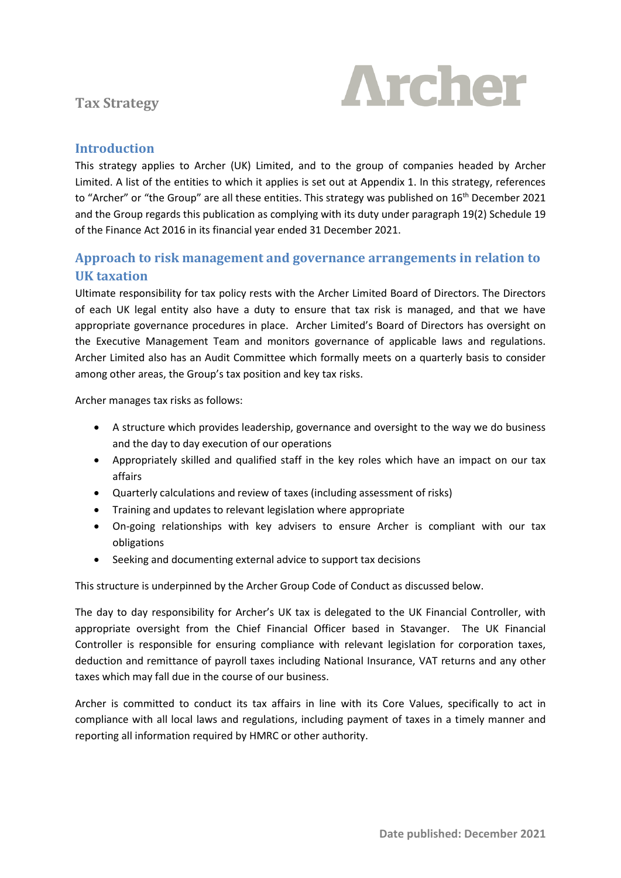# **Tax Strategy**



#### **Introduction**

This strategy applies to Archer (UK) Limited, and to the group of companies headed by Archer Limited. A list of the entities to which it applies is set out at Appendix 1. In this strategy, references to "Archer" or "the Group" are all these entities. This strategy was published on 16<sup>th</sup> December 2021 and the Group regards this publication as complying with its duty under paragraph 19(2) Schedule 19 of the Finance Act 2016 in its financial year ended 31 December 2021.

#### **Approach to risk management and governance arrangements in relation to UK taxation**

Ultimate responsibility for tax policy rests with the Archer Limited Board of Directors. The Directors of each UK legal entity also have a duty to ensure that tax risk is managed, and that we have appropriate governance procedures in place. Archer Limited's Board of Directors has oversight on the Executive Management Team and monitors governance of applicable laws and regulations. Archer Limited also has an Audit Committee which formally meets on a quarterly basis to consider among other areas, the Group's tax position and key tax risks.

Archer manages tax risks as follows:

- A structure which provides leadership, governance and oversight to the way we do business and the day to day execution of our operations
- Appropriately skilled and qualified staff in the key roles which have an impact on our tax affairs
- Quarterly calculations and review of taxes (including assessment of risks)
- Training and updates to relevant legislation where appropriate
- On-going relationships with key advisers to ensure Archer is compliant with our tax obligations
- Seeking and documenting external advice to support tax decisions

This structure is underpinned by the Archer Group Code of Conduct as discussed below.

The day to day responsibility for Archer's UK tax is delegated to the UK Financial Controller, with appropriate oversight from the Chief Financial Officer based in Stavanger. The UK Financial Controller is responsible for ensuring compliance with relevant legislation for corporation taxes, deduction and remittance of payroll taxes including National Insurance, VAT returns and any other taxes which may fall due in the course of our business.

Archer is committed to conduct its tax affairs in line with its Core Values, specifically to act in compliance with all local laws and regulations, including payment of taxes in a timely manner and reporting all information required by HMRC or other authority.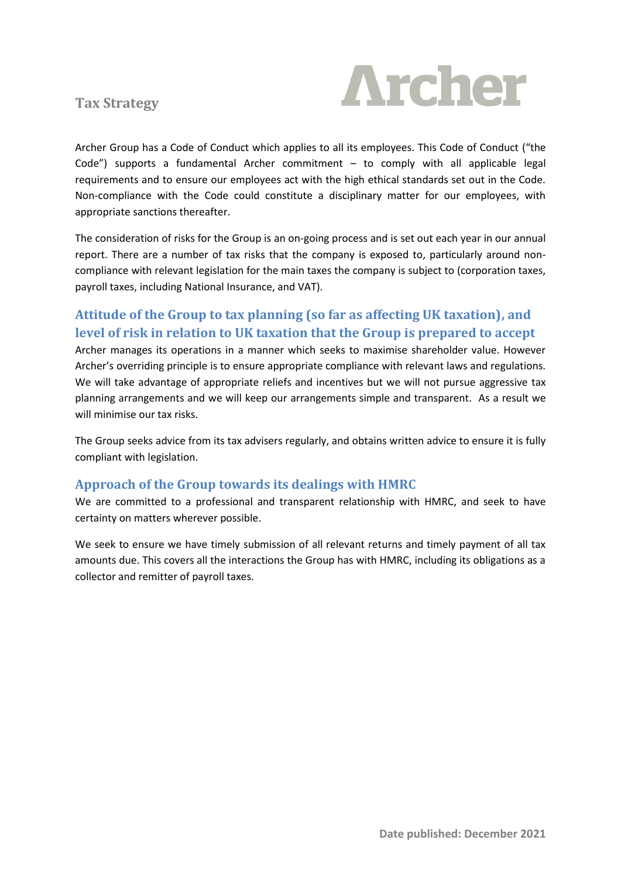

**Tax Strategy**

Archer Group has a Code of Conduct which applies to all its employees. This Code of Conduct ("the Code") supports a fundamental Archer commitment – to comply with all applicable legal requirements and to ensure our employees act with the high ethical standards set out in the Code. Non-compliance with the Code could constitute a disciplinary matter for our employees, with appropriate sanctions thereafter.

The consideration of risks for the Group is an on-going process and is set out each year in our annual report. There are a number of tax risks that the company is exposed to, particularly around noncompliance with relevant legislation for the main taxes the company is subject to (corporation taxes, payroll taxes, including National Insurance, and VAT).

## **Attitude of the Group to tax planning (so far as affecting UK taxation), and level of risk in relation to UK taxation that the Group is prepared to accept**

Archer manages its operations in a manner which seeks to maximise shareholder value. However Archer's overriding principle is to ensure appropriate compliance with relevant laws and regulations. We will take advantage of appropriate reliefs and incentives but we will not pursue aggressive tax planning arrangements and we will keep our arrangements simple and transparent. As a result we will minimise our tax risks.

The Group seeks advice from its tax advisers regularly, and obtains written advice to ensure it is fully compliant with legislation.

#### **Approach of the Group towards its dealings with HMRC**

We are committed to a professional and transparent relationship with HMRC, and seek to have certainty on matters wherever possible.

We seek to ensure we have timely submission of all relevant returns and timely payment of all tax amounts due. This covers all the interactions the Group has with HMRC, including its obligations as a collector and remitter of payroll taxes.